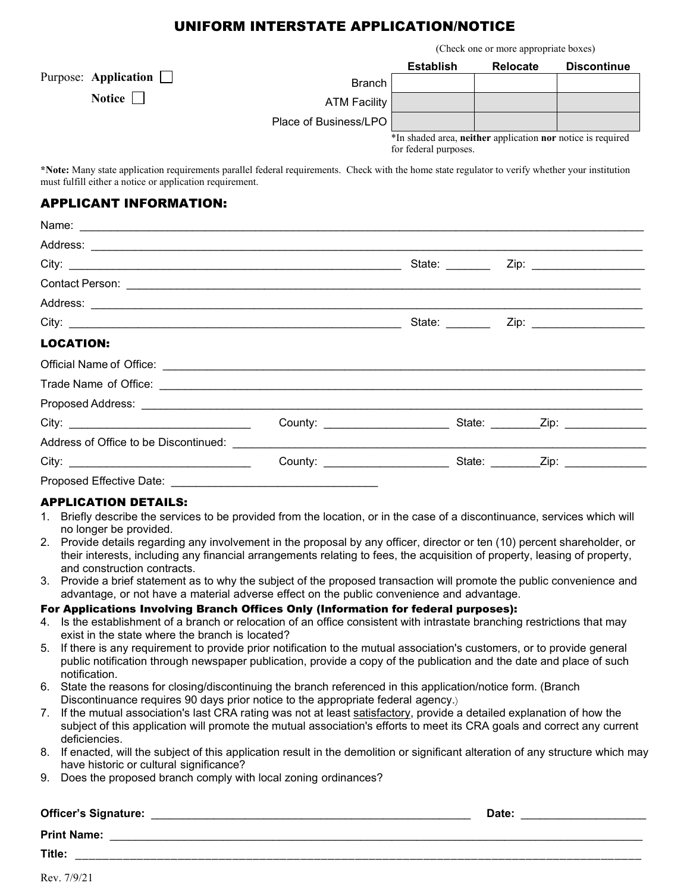### UNIFORM INTERSTATE APPLICATION/NOTICE

(Check one or more appropriate boxes)

|                             |                       | <b>Establish</b>                                                                     | <b>Relocate</b> | <b>Discontinue</b> |
|-----------------------------|-----------------------|--------------------------------------------------------------------------------------|-----------------|--------------------|
| Purpose: Application $\Box$ | <b>Branch</b>         |                                                                                      |                 |                    |
| Notice $\Box$               | <b>ATM Facility</b>   |                                                                                      |                 |                    |
|                             | Place of Business/LPO |                                                                                      |                 |                    |
|                             |                       | *In shaded area, neither application nor notice is required<br>for federal purposes. |                 |                    |

**\*Note:** Many state application requirements parallel federal requirements. Check with the home state regulator to verify whether your institution must fulfill either a notice or application requirement.

#### APPLICANT INFORMATION:

| <b>LOCATION:</b>                                                                                                                                                                                                                     |                                 |  |
|--------------------------------------------------------------------------------------------------------------------------------------------------------------------------------------------------------------------------------------|---------------------------------|--|
| Official Name of Office: <u>Communication of the set of the set of the set of the set of the set of the set of the set of the set of the set of the set of the set of the set of the set of the set of the set of the set of the</u> |                                 |  |
|                                                                                                                                                                                                                                      |                                 |  |
|                                                                                                                                                                                                                                      |                                 |  |
|                                                                                                                                                                                                                                      |                                 |  |
|                                                                                                                                                                                                                                      |                                 |  |
|                                                                                                                                                                                                                                      | County: _______________________ |  |
| Proposed Effective Date:                                                                                                                                                                                                             |                                 |  |

#### APPLICATION DETAILS:

- 1. Briefly describe the services to be provided from the location, or in the case of a discontinuance, services which will no longer be provided.
- 2. Provide details regarding any involvement in the proposal by any officer, director or ten (10) percent shareholder, or their interests, including any financial arrangements relating to fees, the acquisition of property, leasing of property, and construction contracts.
- 3. Provide a brief statement as to why the subject of the proposed transaction will promote the public convenience and advantage, or not have a material adverse effect on the public convenience and advantage.

#### For Applications Involving Branch Offices Only (Information for federal purposes):

- 4. Is the establishment of a branch or relocation of an office consistent with intrastate branching restrictions that may exist in the state where the branch is located?
- 5. If there is any requirement to provide prior notification to the mutual association's customers, or to provide general public notification through newspaper publication, provide a copy of the publication and the date and place of such notification.
- 6. State the reasons for closing/discontinuing the branch referenced in this application/notice form. (Branch Discontinuance requires 90 days prior notice to the appropriate federal agency.)
- 7. If the mutual association's last CRA rating was not at least satisfactory, provide a detailed explanation of how the subject of this application will promote the mutual association's efforts to meet its CRA goals and correct any current deficiencies.
- 8. If enacted, will the subject of this application result in the demolition or significant alteration of any structure which may have historic or cultural significance?
- 9. Does the proposed branch comply with local zoning ordinances?

#### **Officer's Signature:** \_\_\_\_\_\_\_\_\_\_\_\_\_\_\_\_\_\_\_\_\_\_\_\_\_\_\_\_\_\_\_\_\_\_\_\_\_\_\_\_\_\_\_\_\_\_\_\_\_\_\_ **Date:** \_\_\_\_\_\_\_\_\_\_\_\_\_\_\_\_\_\_\_\_

**Print Name:** \_\_\_\_\_\_\_\_\_\_\_\_\_\_\_\_\_\_\_\_\_\_\_\_\_\_\_\_\_\_\_\_\_\_\_\_\_\_\_\_\_\_\_\_\_\_\_\_\_\_\_\_\_\_\_\_\_\_\_\_\_\_\_\_\_\_\_\_\_\_\_\_\_\_\_\_\_\_\_\_\_\_\_\_\_

**Title:** \_\_\_\_\_\_\_\_\_\_\_\_\_\_\_\_\_\_\_\_\_\_\_\_\_\_\_\_\_\_\_\_\_\_\_\_\_\_\_\_\_\_\_\_\_\_\_\_\_\_\_\_\_\_\_\_\_\_\_\_\_\_\_\_\_\_\_\_\_\_\_\_\_\_\_\_\_\_\_\_\_\_\_

Rev. 7/9/21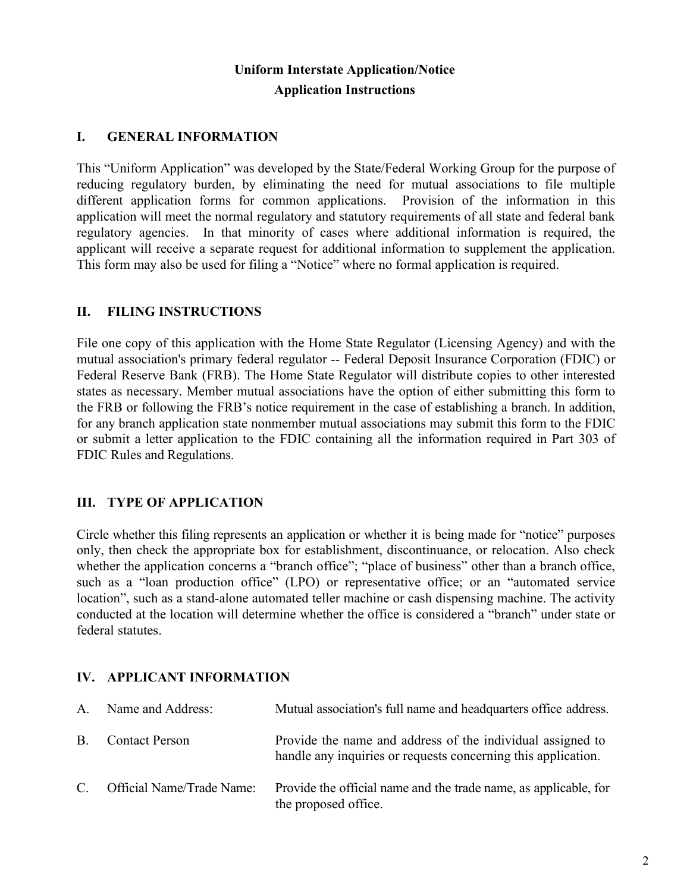# **Uniform Interstate Application/Notice Application Instructions**

#### **I. GENERAL INFORMATION**

This "Uniform Application" was developed by the State/Federal Working Group for the purpose of reducing regulatory burden, by eliminating the need for mutual associations to file multiple different application forms for common applications. Provision of the information in this application will meet the normal regulatory and statutory requirements of all state and federal bank regulatory agencies. In that minority of cases where additional information is required, the applicant will receive a separate request for additional information to supplement the application. This form may also be used for filing a "Notice" where no formal application is required.

### **II. FILING INSTRUCTIONS**

File one copy of this application with the Home State Regulator (Licensing Agency) and with the mutual association's primary federal regulator -- Federal Deposit Insurance Corporation (FDIC) or Federal Reserve Bank (FRB). The Home State Regulator will distribute copies to other interested states as necessary. Member mutual associations have the option of either submitting this form to the FRB or following the FRB's notice requirement in the case of establishing a branch. In addition, for any branch application state nonmember mutual associations may submit this form to the FDIC or submit a letter application to the FDIC containing all the information required in Part 303 of FDIC Rules and Regulations.

# **III. TYPE OF APPLICATION**

Circle whether this filing represents an application or whether it is being made for "notice" purposes only, then check the appropriate box for establishment, discontinuance, or relocation. Also check whether the application concerns a "branch office"; "place of business" other than a branch office, such as a "loan production office" (LPO) or representative office; or an "automated service location", such as a stand-alone automated teller machine or cash dispensing machine. The activity conducted at the location will determine whether the office is considered a "branch" under state or federal statutes.

#### **IV. APPLICANT INFORMATION**

| A.        | Name and Address:         | Mutual association's full name and headquarters office address.                                                             |
|-----------|---------------------------|-----------------------------------------------------------------------------------------------------------------------------|
| <b>B.</b> | <b>Contact Person</b>     | Provide the name and address of the individual assigned to<br>handle any inquiries or requests concerning this application. |
| C.        | Official Name/Trade Name: | Provide the official name and the trade name, as applicable, for<br>the proposed office.                                    |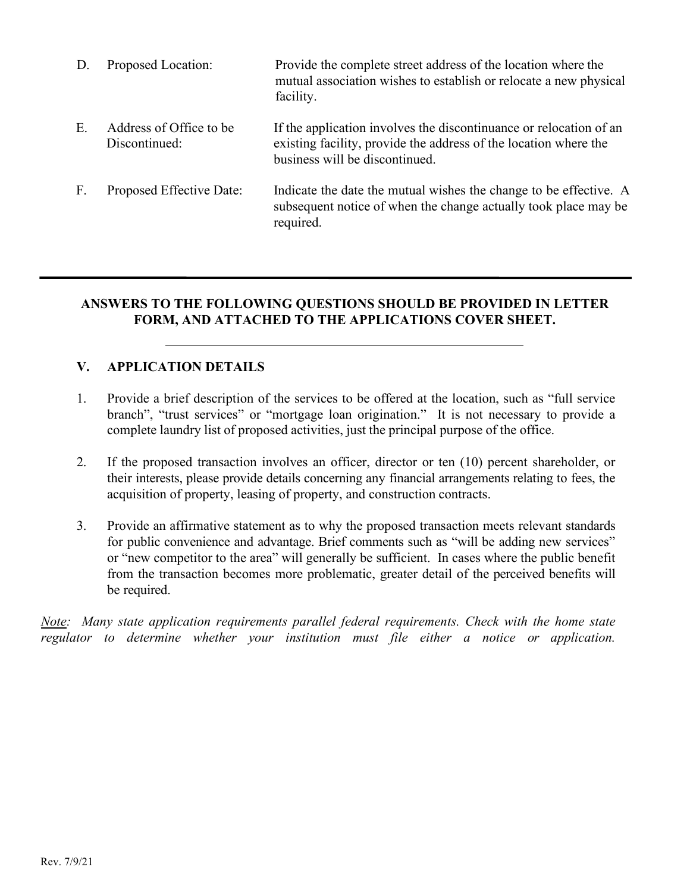| D.             | Proposed Location:                       | Provide the complete street address of the location where the<br>mutual association wishes to establish or relocate a new physical<br>facility.                          |
|----------------|------------------------------------------|--------------------------------------------------------------------------------------------------------------------------------------------------------------------------|
| Ε.             | Address of Office to be<br>Discontinued: | If the application involves the discontinuance or relocation of an<br>existing facility, provide the address of the location where the<br>business will be discontinued. |
| $\mathbf{F}$ . | Proposed Effective Date:                 | Indicate the date the mutual wishes the change to be effective. A<br>subsequent notice of when the change actually took place may be<br>required.                        |

# **ANSWERS TO THE FOLLOWING QUESTIONS SHOULD BE PROVIDED IN LETTER FORM, AND ATTACHED TO THE APPLICATIONS COVER SHEET.**

# **V. APPLICATION DETAILS**

- 1. Provide a brief description of the services to be offered at the location, such as "full service branch", "trust services" or "mortgage loan origination." It is not necessary to provide a complete laundry list of proposed activities, just the principal purpose of the office.
- 2. If the proposed transaction involves an officer, director or ten (10) percent shareholder, or their interests, please provide details concerning any financial arrangements relating to fees, the acquisition of property, leasing of property, and construction contracts.
- 3. Provide an affirmative statement as to why the proposed transaction meets relevant standards for public convenience and advantage. Brief comments such as "will be adding new services" or "new competitor to the area" will generally be sufficient. In cases where the public benefit from the transaction becomes more problematic, greater detail of the perceived benefits will be required.

*Note: Many state application requirements parallel federal requirements. Check with the home state regulator to determine whether your institution must file either a notice or application.*